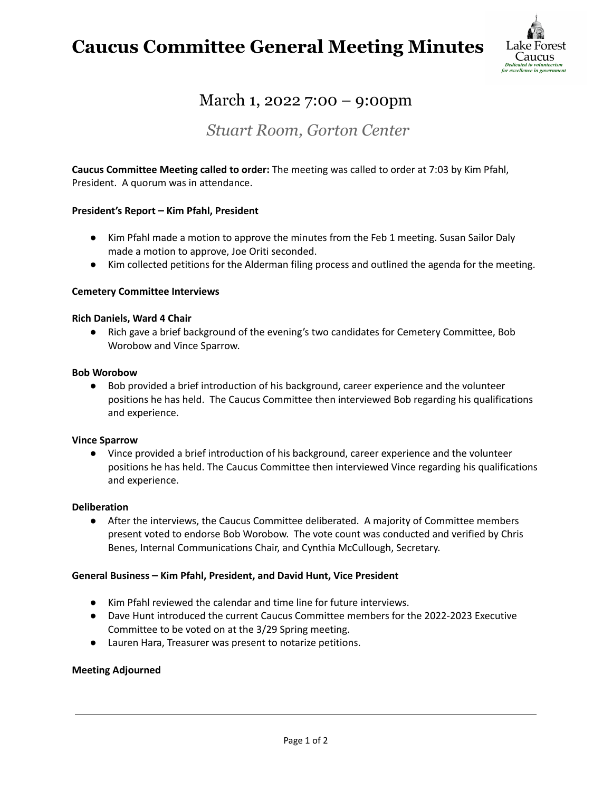## **Caucus Committee General Meeting Minutes**



## March 1, 2022 7:00 – 9:00pm

### *Stuart Room, Gorton Center*

**Caucus Committee Meeting called to order:** The meeting was called to order at 7:03 by Kim Pfahl, President. A quorum was in attendance.

#### **President's Report – Kim Pfahl, President**

- Kim Pfahl made a motion to approve the minutes from the Feb 1 meeting. Susan Sailor Daly made a motion to approve, Joe Oriti seconded.
- Kim collected petitions for the Alderman filing process and outlined the agenda for the meeting.

#### **Cemetery Committee Interviews**

#### **Rich Daniels, Ward 4 Chair**

● Rich gave a brief background of the evening's two candidates for Cemetery Committee, Bob Worobow and Vince Sparrow.

#### **Bob Worobow**

● Bob provided a brief introduction of his background, career experience and the volunteer positions he has held. The Caucus Committee then interviewed Bob regarding his qualifications and experience.

#### **Vince Sparrow**

● Vince provided a brief introduction of his background, career experience and the volunteer positions he has held. The Caucus Committee then interviewed Vince regarding his qualifications and experience.

#### **Deliberation**

● After the interviews, the Caucus Committee deliberated. A majority of Committee members present voted to endorse Bob Worobow. The vote count was conducted and verified by Chris Benes, Internal Communications Chair, and Cynthia McCullough, Secretary.

#### **General Business – Kim Pfahl, President, and David Hunt, Vice President**

- Kim Pfahl reviewed the calendar and time line for future interviews.
- Dave Hunt introduced the current Caucus Committee members for the 2022-2023 Executive Committee to be voted on at the 3/29 Spring meeting.
- Lauren Hara, Treasurer was present to notarize petitions.

#### **Meeting Adjourned**